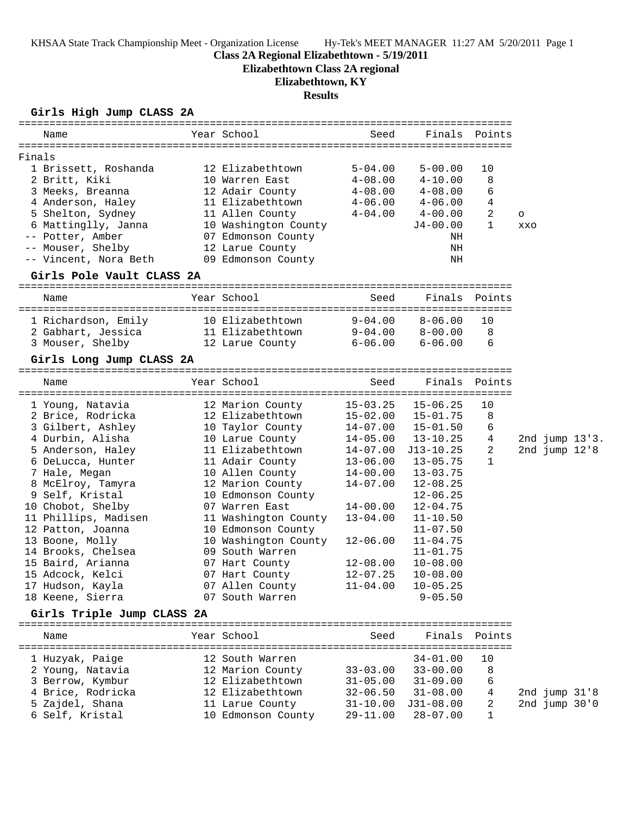**Elizabethtown Class 2A regional**

# **Elizabethtown, KY**

## **Results**

### **Girls High Jump CLASS 2A**

| Name                                                   | Year School          | Seed         |               | Finals Points |            |                   |                |
|--------------------------------------------------------|----------------------|--------------|---------------|---------------|------------|-------------------|----------------|
|                                                        |                      |              |               |               |            |                   |                |
| Finals                                                 |                      |              |               |               |            |                   |                |
| 1 Brissett, Roshanda                                   | 12 Elizabethtown     | $5 - 04.00$  | $5 - 00.00$   | 10            |            |                   |                |
| 2 Britt, Kiki                                          | 10 Warren East       | $4 - 08.00$  | $4 - 10.00$   | 8             |            |                   |                |
| 3 Meeks, Breanna                                       | 12 Adair County      | $4 - 08.00$  | $4 - 08.00$   | 6             |            |                   |                |
| 4 Anderson, Haley                                      | 11 Elizabethtown     | $4 - 06.00$  | $4 - 06.00$   | 4             |            |                   |                |
| 5 Shelton, Sydney                                      | 11 Allen County      | $4 - 04.00$  | $4 - 00.00$   | 2             | $\circ$    |                   |                |
| 6 Mattinglly, Janna                                    | 10 Washington County |              | $J4-00.00$    | $\mathbf{1}$  | <b>XXO</b> |                   |                |
| -- Potter, Amber                                       | 07 Edmonson County   |              | ΝH            |               |            |                   |                |
| -- Mouser, Shelby                                      | 12 Larue County      |              | ΝH            |               |            |                   |                |
| -- Vincent, Nora Beth                                  | 09 Edmonson County   |              | ΝH            |               |            |                   |                |
| Girls Pole Vault CLASS 2A                              |                      |              |               |               |            |                   |                |
| Name                                                   | Year School          | Seed         |               | Finals Points |            |                   |                |
| 1 Richardson, Emily                                    | 10 Elizabethtown     | $9 - 04.00$  | $8 - 06.00$   | 10            |            |                   |                |
| 2 Gabhart, Jessica                                     | 11 Elizabethtown     | $9-04.00$    | $8 - 00.00$   | 8             |            |                   |                |
| 3 Mouser, Shelby                                       | 12 Larue County      | $6 - 06.00$  | $6 - 06.00$   | 6             |            |                   |                |
| Girls Long Jump CLASS 2A                               |                      |              |               |               |            |                   |                |
|                                                        |                      |              |               |               |            |                   |                |
| Name                                                   | Year School          | Seed         |               | Finals Points |            |                   |                |
|                                                        |                      |              |               |               |            |                   |                |
| 1 Younq, Natavia                                       | 12 Marion County     | $15 - 03.25$ | $15 - 06.25$  | 10            |            |                   |                |
| 2 Brice, Rodricka                                      | 12 Elizabethtown     | $15 - 02.00$ | $15 - 01.75$  | 8             |            |                   |                |
| 3 Gilbert, Ashley                                      | 10 Taylor County     | $14 - 07.00$ | $15 - 01.50$  | 6             |            |                   |                |
| 4 Durbin, Alisha                                       | 10 Larue County      | $14 - 05.00$ | $13 - 10.25$  | 4             |            |                   | 2nd jump 13'3. |
| 5 Anderson, Haley                                      | 11 Elizabethtown     | $14 - 07.00$ | $J13 - 10.25$ | 2             |            | 2nd $jump$ $12.8$ |                |
| 6 DeLucca, Hunter                                      | 11 Adair County      | $13 - 06.00$ | $13 - 05.75$  | $\mathbf{1}$  |            |                   |                |
| 7 Hale, Megan                                          | 10 Allen County      | $14 - 00.00$ | $13 - 03.75$  |               |            |                   |                |
| 8 McElroy, Tamyra                                      | 12 Marion County     | $14 - 07.00$ | $12 - 08.25$  |               |            |                   |                |
| 9 Self, Kristal                                        | 10 Edmonson County   |              | $12 - 06.25$  |               |            |                   |                |
| 10 Chobot, Shelby                                      | 07 Warren East       | $14 - 00.00$ | $12 - 04.75$  |               |            |                   |                |
| 11 Phillips, Madisen                                   | 11 Washington County | $13 - 04.00$ | $11 - 10.50$  |               |            |                   |                |
| 12 Patton, Joanna                                      | 10 Edmonson County   |              | $11 - 07.50$  |               |            |                   |                |
| 13 Boone, Molly                                        | 10 Washington County | $12 - 06.00$ | $11 - 04.75$  |               |            |                   |                |
| 14 Brooks, Chelsea                                     | 09 South Warren      |              | $11 - 01.75$  |               |            |                   |                |
| 15 Baird, Arianna                                      | 07 Hart County       | $12 - 08.00$ | $10 - 08.00$  |               |            |                   |                |
| 15 Adcock, Kelci                                       | 07 Hart County       | $12 - 07.25$ | $10 - 08.00$  |               |            |                   |                |
| 17 Hudson, Kayla                                       | 07 Allen County      | $11 - 04.00$ | $10 - 05.25$  |               |            |                   |                |
| 18 Keene, Sierra                                       | 07 South Warren      |              | $9 - 05.50$   |               |            |                   |                |
| Girls Triple Jump CLASS 2A<br>======================== |                      | ------------ |               |               |            |                   |                |
| Name                                                   | Year School          | Seed         | Finals        | Points        |            |                   |                |
|                                                        |                      |              | $34 - 01.00$  |               |            |                   |                |
| 1 Huzyak, Paige                                        | 12 South Warren      |              |               | 10            |            |                   |                |
| 2 Young, Natavia                                       | 12 Marion County     | $33 - 03.00$ | $33 - 00.00$  | 8             |            |                   |                |
| 3 Berrow, Kymbur                                       | 12 Elizabethtown     | $31 - 05.00$ | $31 - 09.00$  | 6             |            |                   |                |
| 4 Brice, Rodricka                                      | 12 Elizabethtown     | $32 - 06.50$ | $31 - 08.00$  | 4             |            | 2nd jump 31'8     |                |
| 5 Zajdel, Shana                                        | 11 Larue County      | $31 - 10.00$ | $J31-08.00$   | 2             |            | 2nd jump 30'0     |                |
| 6 Self, Kristal                                        | 10 Edmonson County   | $29 - 11.00$ | $28 - 07.00$  | 1             |            |                   |                |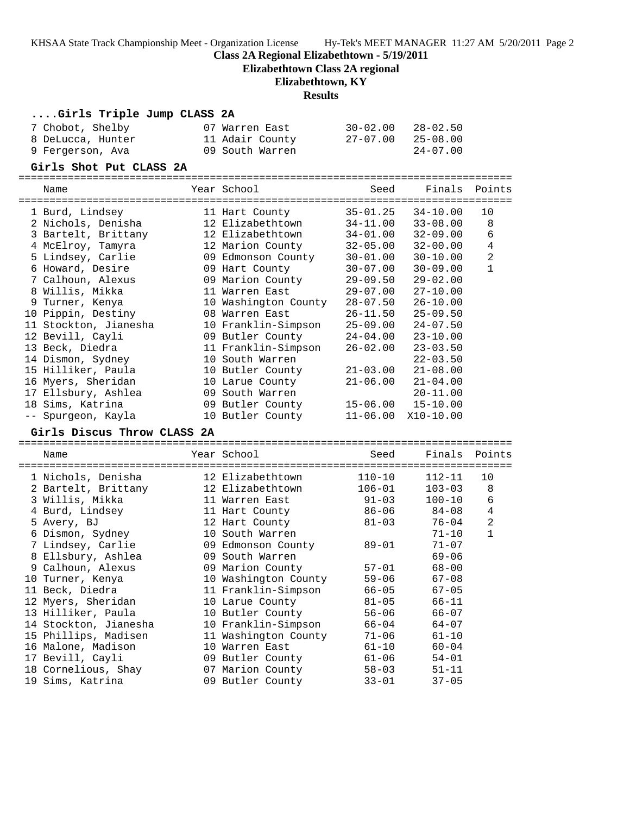KHSAA State Track Championship Meet - Organization License Hy-Tek's MEET MANAGER 11:27 AM 5/20/2011 Page 2

#### **Class 2A Regional Elizabethtown - 5/19/2011**

**Elizabethtown Class 2A regional**

### **Elizabethtown, KY**

#### **Results**

| Girls Triple Jump CLASS 2A |                 |          |              |
|----------------------------|-----------------|----------|--------------|
| 7 Chobot, Shelby           | 07 Warren East  | 30-02.00 | $28 - 02.50$ |
| 8 DeLucca, Hunter          | 11 Adair County | 27-07.00 | $25 - 08.00$ |
| 9 Fergerson, Ava           | 09 South Warren |          | $24 - 07.00$ |

#### **Girls Shot Put CLASS 2A**

================================================================================

| Name                  | Year School          | Seed         | Finals       | Points         |
|-----------------------|----------------------|--------------|--------------|----------------|
| 1 Burd, Lindsey       | 11 Hart County       | $35 - 01.25$ | $34 - 10.00$ | 10             |
| 2 Nichols, Denisha    | 12 Elizabethtown     | $34 - 11.00$ | $33 - 08.00$ | 8              |
| 3 Bartelt, Brittany   | 12 Elizabethtown     | $34 - 01.00$ | $32 - 09.00$ | $\epsilon$     |
| 4 McElroy, Tamyra     | 12 Marion County     | $32 - 05.00$ | $32 - 00.00$ | $\bf 4$        |
| 5 Lindsey, Carlie     | 09 Edmonson County   | $30 - 01.00$ | $30 - 10.00$ | $\overline{2}$ |
| 6 Howard, Desire      | 09 Hart County       | $30 - 07.00$ | $30 - 09.00$ | $\mathbf{1}$   |
| 7 Calhoun, Alexus     | 09 Marion County     | $29 - 09.50$ | $29 - 02.00$ |                |
| 8 Willis, Mikka       | 11 Warren East       | $29 - 07.00$ | $27 - 10.00$ |                |
| 9 Turner, Kenya       | 10 Washington County | $28 - 07.50$ | $26 - 10.00$ |                |
| 10 Pippin, Destiny    | 08 Warren East       | $26 - 11.50$ | $25 - 09.50$ |                |
| 11 Stockton, Jianesha | 10 Franklin-Simpson  | $25 - 09.00$ | $24 - 07.50$ |                |
| 12 Bevill, Cayli      | 09 Butler County     | $24 - 04.00$ | $23 - 10.00$ |                |
| 13 Beck, Diedra       | 11 Franklin-Simpson  | $26 - 02.00$ | $23 - 03.50$ |                |
| 14 Dismon, Sydney     | 10 South Warren      |              | $22 - 03.50$ |                |
| 15 Hilliker, Paula    | 10 Butler County     | $21 - 03.00$ | $21 - 08.00$ |                |
| 16 Myers, Sheridan    | 10 Larue County      | $21 - 06.00$ | $21 - 04.00$ |                |
| 17 Ellsbury, Ashlea   | 09 South Warren      |              | $20 - 11.00$ |                |
| 18 Sims, Katrina      | 09 Butler County     | 15-06.00     | $15 - 10.00$ |                |
| -- Spurgeon, Kayla    | 10 Butler County     | $11 - 06.00$ | $X10-10.00$  |                |

### **Girls Discus Throw CLASS 2A**

================================================================================ Name The Year School Seed Finals Points ================================================================================ 1 Nichols, Denisha 12 Elizabethtown 110-10 112-11 10 2 Bartelt, Brittany 12 Elizabethtown 106-01 103-03 8 3 Willis, Mikka 11 Warren East 91-03 100-10 6 4 Burd, Lindsey 11 Hart County 86-06 84-08 4 5 Avery, BJ 12 Hart County 81-03 76-04 2 6 Dismon, Sydney 10 South Warren 71-10 1 7 Lindsey, Carlie 09 Edmonson County 89-01 71-07 8 Ellsbury, Ashlea 09 South Warren 69-06 9 Calhoun, Alexus 09 Marion County 57-01 68-00 10 Turner, Kenya 10 Washington County 59-06 67-08 11 Beck, Diedra 11 Franklin-Simpson 66-05 67-05 12 Myers, Sheridan 10 Larue County 81-05 66-11 13 Hilliker, Paula 10 Butler County 56-06 66-07 14 Stockton, Jianesha 10 Franklin-Simpson 66-04 64-07 15 Phillips, Madisen 11 Washington County 71-06 61-10 16 Malone, Madison 10 Warren East 61-10 60-04 17 Bevill, Cayli 09 Butler County 61-06 54-01 18 Cornelious, Shay 07 Marion County 58-03 51-11 19 Sims, Katrina 09 Butler County 33-01 37-05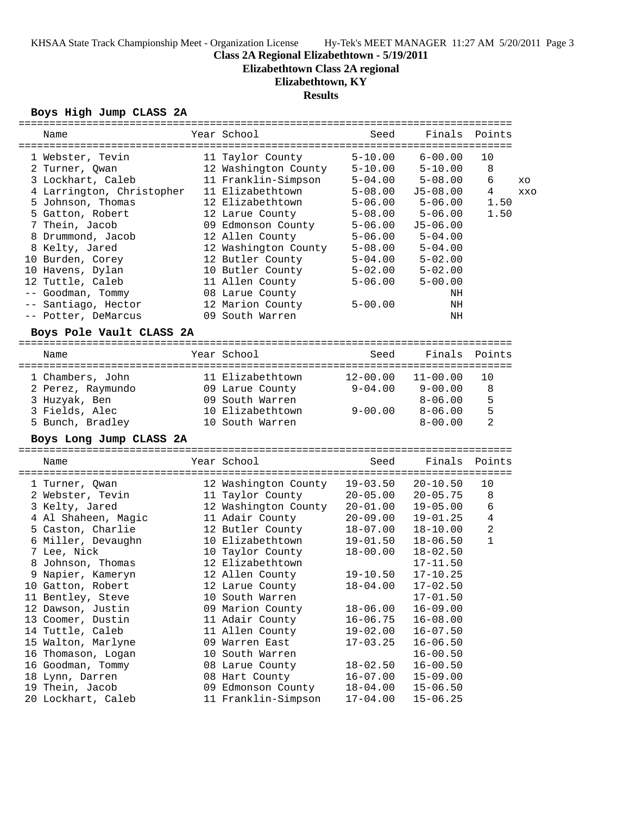**Elizabethtown Class 2A regional**

# **Elizabethtown, KY**

# **Results**

## **Boys High Jump CLASS 2A**

|                | =========================== |                      |              |              |                |            |
|----------------|-----------------------------|----------------------|--------------|--------------|----------------|------------|
| Name           |                             | Year School          | Seed         | Finals       | Points         |            |
|                |                             |                      |              |              |                |            |
|                | 1 Webster, Tevin            | 11 Taylor County     | $5 - 10.00$  | $6 - 00.00$  | 10             |            |
|                | 2 Turner, Qwan              | 12 Washington County | $5 - 10.00$  | $5 - 10.00$  | 8              |            |
|                | 3 Lockhart, Caleb           | 11 Franklin-Simpson  | $5 - 04.00$  | $5 - 08.00$  | 6              | XO         |
|                | 4 Larrington, Christopher   | 11 Elizabethtown     | $5 - 08.00$  | $J5 - 08.00$ | 4              | <b>XXO</b> |
|                | 5 Johnson, Thomas           | 12 Elizabethtown     | $5 - 06.00$  | $5 - 06.00$  | 1.50           |            |
|                | 5 Gatton, Robert            | 12 Larue County      | $5 - 08.00$  | $5 - 06.00$  | 1.50           |            |
|                | 7 Thein, Jacob              | 09 Edmonson County   | $5 - 06.00$  | $J5 - 06.00$ |                |            |
|                | 8 Drummond, Jacob           | 12 Allen County      | $5 - 06.00$  | $5 - 04.00$  |                |            |
|                | 8 Kelty, Jared              | 12 Washington County | $5 - 08.00$  | $5 - 04.00$  |                |            |
|                | 10 Burden, Corey            | 12 Butler County     | $5 - 04.00$  | $5 - 02.00$  |                |            |
|                | 10 Havens, Dylan            | 10 Butler County     | $5 - 02.00$  | $5 - 02.00$  |                |            |
|                | 12 Tuttle, Caleb            | 11 Allen County      | $5 - 06.00$  | $5 - 00.00$  |                |            |
|                | -- Goodman, Tommy           | 08 Larue County      |              | ΝH           |                |            |
|                | -- Santiago, Hector         | 12 Marion County     | $5 - 00.00$  | ΝH           |                |            |
|                | -- Potter, DeMarcus         | 09 South Warren      |              | ΝH           |                |            |
|                |                             |                      |              |              |                |            |
|                | Boys Pole Vault CLASS 2A    |                      |              |              |                |            |
|                |                             |                      |              |              |                |            |
| Name           |                             | Year School          | Seed         | Finals       | Points         |            |
|                |                             |                      |              |              |                |            |
|                | 1 Chambers, John            | 11 Elizabethtown     | $12 - 00.00$ | $11 - 00.00$ | 10             |            |
|                | 2 Perez, Raymundo           | 09 Larue County      | $9 - 04.00$  | $9 - 00.00$  | 8              |            |
|                | 3 Huzyak, Ben               | 09 South Warren      |              | $8 - 06.00$  | 5              |            |
|                | 3 Fields, Alec              | 10 Elizabethtown     | $9 - 00.00$  | $8 - 06.00$  | 5              |            |
|                | 5 Bunch, Bradley            | 10 South Warren      |              | $8 - 00.00$  | $\overline{2}$ |            |
|                | Boys Long Jump CLASS 2A     |                      |              |              |                |            |
|                |                             |                      |              |              |                |            |
| Name           |                             | Year School          | Seed         | Finals       | Points         |            |
|                |                             |                      |              |              |                |            |
| 1 Turner, Qwan |                             |                      |              |              |                |            |
|                |                             | 12 Washington County | $19 - 03.50$ | $20 - 10.50$ | 10             |            |
|                | 2 Webster, Tevin            | 11 Taylor County     | $20 - 05.00$ | $20 - 05.75$ | 8              |            |
|                | 3 Kelty, Jared              | 12 Washington County | $20 - 01.00$ | $19 - 05.00$ | 6              |            |
|                | 4 Al Shaheen, Magic         | 11 Adair County      | $20 - 09.00$ | $19 - 01.25$ | 4              |            |
|                | 5 Caston, Charlie           | 12 Butler County     | $18 - 07.00$ | $18 - 10.00$ | 2              |            |
|                | 6 Miller, Devaughn          | 10 Elizabethtown     | $19 - 01.50$ | $18 - 06.50$ | $\mathbf{1}$   |            |
| 7 Lee, Nick    |                             | 10 Taylor County     | $18 - 00.00$ | $18 - 02.50$ |                |            |
|                | 8 Johnson, Thomas           | 12 Elizabethtown     |              | $17 - 11.50$ |                |            |
|                | 9 Napier, Kameryn           | 12 Allen County      | $19 - 10.50$ | $17 - 10.25$ |                |            |
|                | 10 Gatton, Robert           | 12 Larue County      | $18 - 04.00$ | $17 - 02.50$ |                |            |
|                | 11 Bentley, Steve           | 10 South Warren      |              | $17 - 01.50$ |                |            |
|                | 12 Dawson, Justin           | 09 Marion County     | $18 - 06.00$ | $16 - 09.00$ |                |            |
|                | 13 Coomer, Dustin           | 11 Adair County      | $16 - 06.75$ | $16 - 08.00$ |                |            |
|                | 14 Tuttle, Caleb            | 11 Allen County      | $19 - 02.00$ | $16 - 07.50$ |                |            |
|                | 15 Walton, Marlyne          | 09 Warren East       | $17 - 03.25$ | $16 - 06.50$ |                |            |
|                | 16 Thomason, Logan          | 10 South Warren      |              | $16 - 00.50$ |                |            |
|                | 16 Goodman, Tommy           | 08 Larue County      | $18 - 02.50$ | $16 - 00.50$ |                |            |
|                | 18 Lynn, Darren             | 08 Hart County       | $16 - 07.00$ | $15 - 09.00$ |                |            |
|                | 19 Thein, Jacob             | 09 Edmonson County   | $18 - 04.00$ | $15 - 06.50$ |                |            |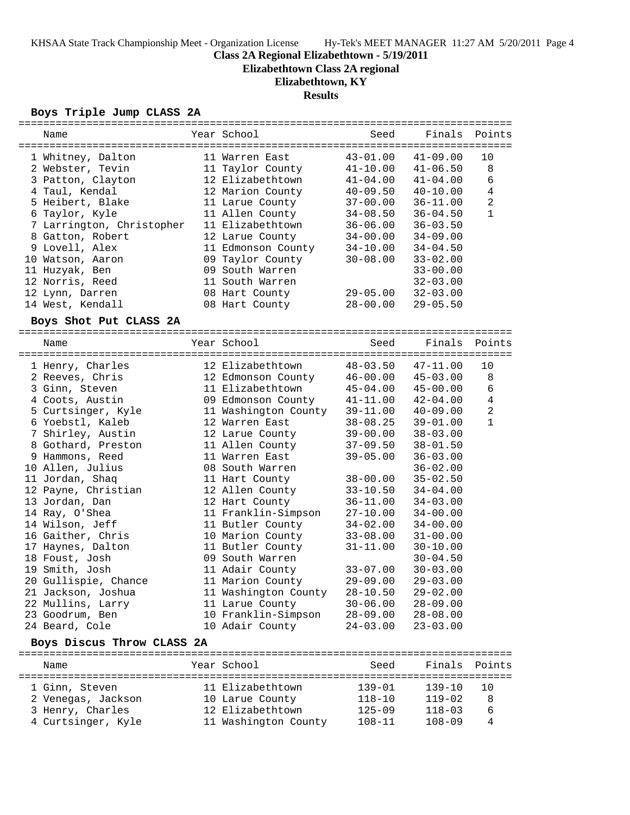**Elizabethtown Class 2A regional**

# **Elizabethtown, KY**

## **Results**

## **Boys Triple Jump CLASS 2A**

| Name                       | Year School          | Seed         | Finals       | Points         |
|----------------------------|----------------------|--------------|--------------|----------------|
|                            |                      |              |              |                |
| 1 Whitney, Dalton          | 11 Warren East       | $43 - 01.00$ | $41 - 09.00$ | 10             |
| 2 Webster, Tevin           | 11 Taylor County     | $41 - 10.00$ | $41 - 06.50$ | 8              |
| 3 Patton, Clayton          | 12 Elizabethtown     | $41 - 04.00$ | $41 - 04.00$ | $\epsilon$     |
| 4 Taul, Kendal             | 12 Marion County     | $40 - 09.50$ | $40 - 10.00$ | $\,4$          |
| 5 Heibert, Blake           | 11 Larue County      | 37-00.00     | $36 - 11.00$ | $\overline{a}$ |
| 6 Taylor, Kyle             | 11 Allen County      | $34 - 08.50$ | $36 - 04.50$ | $\mathbf{1}$   |
| 7 Larrington, Christopher  | 11 Elizabethtown     | $36 - 06.00$ | $36 - 03.50$ |                |
| 8 Gatton, Robert           | 12 Larue County      | $34 - 00.00$ | $34 - 09.00$ |                |
| 9 Lovell, Alex             | 11 Edmonson County   | $34 - 10.00$ | $34 - 04.50$ |                |
| 10 Watson, Aaron           | 09 Taylor County     | $30 - 08.00$ | $33 - 02.00$ |                |
| 11 Huzyak, Ben             | 09 South Warren      |              | $33 - 00.00$ |                |
| 12 Norris, Reed            | 11 South Warren      |              | $32 - 03.00$ |                |
| 12 Lynn, Darren            | 08 Hart County       | $29 - 05.00$ | $32 - 03.00$ |                |
| 14 West, Kendall           | 08 Hart County       | $28 - 00.00$ | $29 - 05.50$ |                |
| Boys Shot Put CLASS 2A     |                      |              |              |                |
|                            |                      | Seed         | Finals       |                |
| Name                       | Year School          |              |              | Points         |
| 1 Henry, Charles           | 12 Elizabethtown     | $48 - 03.50$ | $47 - 11.00$ | 10             |
| 2 Reeves, Chris            | 12 Edmonson County   | $46 - 00.00$ | $45 - 03.00$ | 8              |
| 3 Ginn, Steven             | 11 Elizabethtown     | $45 - 04.00$ | $45 - 00.00$ | 6              |
| 4 Coots, Austin            | 09 Edmonson County   | $41 - 11.00$ | $42 - 04.00$ | $\overline{4}$ |
| 5 Curtsinger, Kyle         | 11 Washington County | $39 - 11.00$ | $40 - 09.00$ | $\overline{a}$ |
| 6 Yoebstl, Kaleb           | 12 Warren East       | $38 - 08.25$ | $39 - 01.00$ | $\mathbf{1}$   |
| 7 Shirley, Austin          | 12 Larue County      | $39 - 00.00$ | $38 - 03.00$ |                |
| 8 Gothard, Preston         | 11 Allen County      | $37 - 09.50$ | $38 - 01.50$ |                |
| 9 Hammons, Reed            | 11 Warren East       | $39 - 05.00$ | $36 - 03.00$ |                |
| 10 Allen, Julius           | 08 South Warren      |              | $36 - 02.00$ |                |
| 11 Jordan, Shaq            | 11 Hart County       | $38 - 00.00$ | $35 - 02.50$ |                |
| 12 Payne, Christian        | 12 Allen County      | $33 - 10.50$ | $34 - 04.00$ |                |
| 13 Jordan, Dan             | 12 Hart County       | $36 - 11.00$ | $34 - 03.00$ |                |
| 14 Ray, O'Shea             | 11 Franklin-Simpson  | $27 - 10.00$ | $34 - 00.00$ |                |
| 14 Wilson, Jeff            | 11 Butler County     | $34 - 02.00$ | $34 - 00.00$ |                |
| 16 Gaither, Chris          | 10 Marion County     | $33 - 08.00$ | $31 - 00.00$ |                |
| 17 Haynes, Dalton          | 11 Butler County     | $31 - 11.00$ | $30 - 10.00$ |                |
| 18 Foust, Josh             | 09 South Warren      |              | $30 - 04.50$ |                |
| 19 Smith, Josh             | 11 Adair County      | $33 - 07.00$ | $30 - 03.00$ |                |
| 20 Gullispie, Chance       | 11 Marion County     | $29 - 09.00$ | $29 - 03.00$ |                |
| 21 Jackson, Joshua         | 11 Washington County | $28 - 10.50$ | $29 - 02.00$ |                |
| 22 Mullins, Larry          | 11 Larue County      | $30 - 06.00$ | $28 - 09.00$ |                |
| 23 Goodrum, Ben            | 10 Franklin-Simpson  | $28 - 09.00$ | $28 - 08.00$ |                |
| 24 Beard, Cole             | 10 Adair County      | $24 - 03.00$ | $23 - 03.00$ |                |
|                            |                      |              |              |                |
| Boys Discus Throw CLASS 2A |                      |              |              |                |
| Name                       | Year School          | Seed         | Finals       | Points         |
|                            |                      |              |              |                |
| 1 Ginn, Steven             | 11 Elizabethtown     | $139 - 01$   | $139 - 10$   | 10             |
| 2 Venegas, Jackson         | 10 Larue County      | $118 - 10$   | $119 - 02$   | 8              |
| 3 Henry, Charles           | 12 Elizabethtown     | $125 - 09$   | $118 - 03$   | 6              |
| 4 Curtsinger, Kyle         | 11 Washington County | $108 - 11$   | $108 - 09$   | 4              |